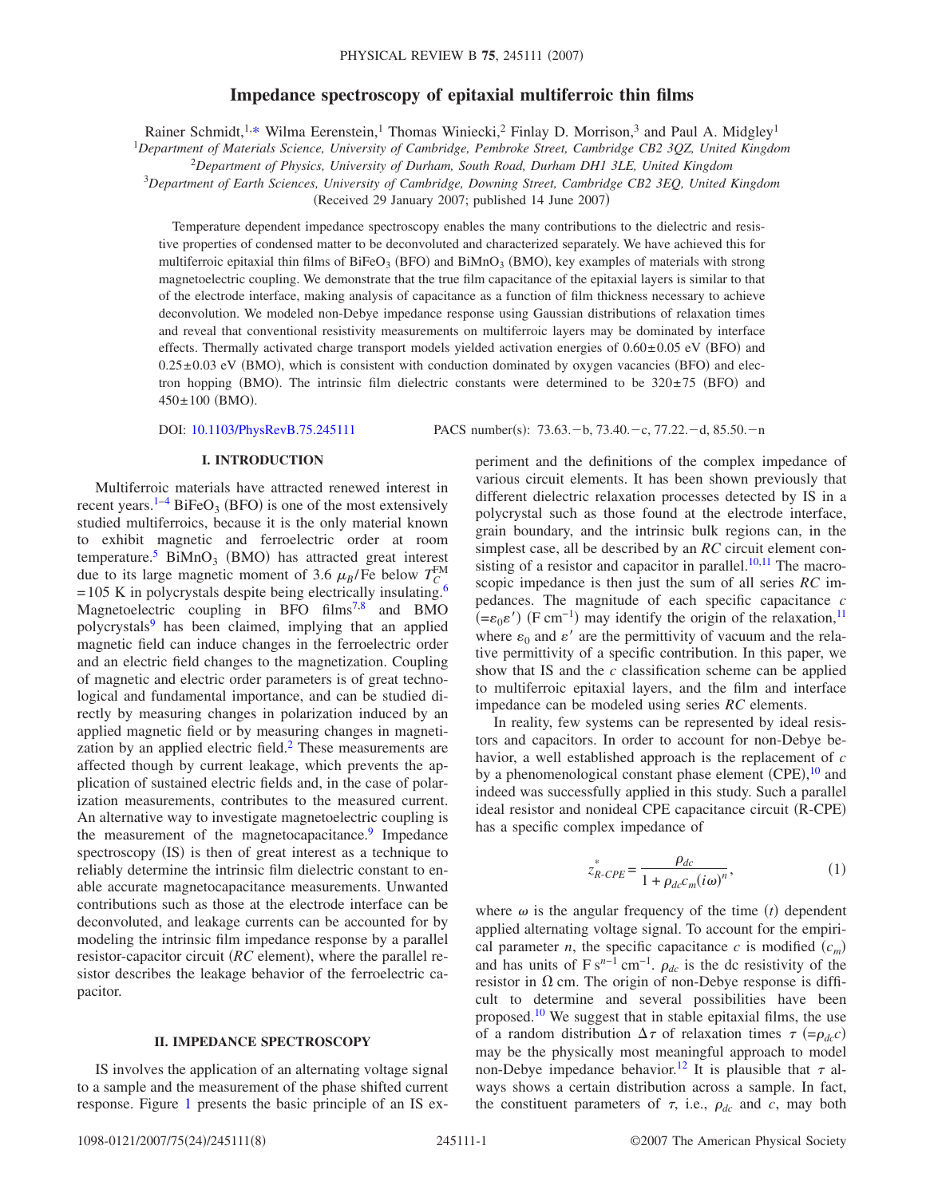# **Impedance spectroscopy of epitaxial multiferroic thin films**

Rainer Schmidt,<sup>1[,\\*](#page-6-0)</sup> Wilma Eerenstein,<sup>1</sup> Thomas Winiecki,<sup>2</sup> Finlay D. Morrison,<sup>3</sup> and Paul A. Midgley<sup>1</sup>

1 *Department of Materials Science, University of Cambridge, Pembroke Street, Cambridge CB2 3QZ, United Kingdom*

<sup>2</sup>*Department of Physics, University of Durham, South Road, Durham DH1 3LE, United Kingdom*

3 *Department of Earth Sciences, University of Cambridge, Downing Street, Cambridge CB2 3EQ, United Kingdom*

(Received 29 January 2007; published 14 June 2007)

Temperature dependent impedance spectroscopy enables the many contributions to the dielectric and resistive properties of condensed matter to be deconvoluted and characterized separately. We have achieved this for multiferroic epitaxial thin films of  $BiFeO<sub>3</sub>$  (BFO) and  $BiMnO<sub>3</sub>$  (BMO), key examples of materials with strong magnetoelectric coupling. We demonstrate that the true film capacitance of the epitaxial layers is similar to that of the electrode interface, making analysis of capacitance as a function of film thickness necessary to achieve deconvolution. We modeled non-Debye impedance response using Gaussian distributions of relaxation times and reveal that conventional resistivity measurements on multiferroic layers may be dominated by interface effects. Thermally activated charge transport models yielded activation energies of  $0.60\pm0.05$  eV (BFO) and  $0.25 \pm 0.03$  eV (BMO), which is consistent with conduction dominated by oxygen vacancies (BFO) and electron hopping (BMO). The intrinsic film dielectric constants were determined to be  $320\pm75$  (BFO) and  $450 \pm 100$  (BMO).

DOI: [10.1103/PhysRevB.75.245111](http://dx.doi.org/10.1103/PhysRevB.75.245111)

PACS number(s):  $73.63.-b$ ,  $73.40.-c$ ,  $77.22.-d$ ,  $85.50.-n$ 

# **I. INTRODUCTION**

Multiferroic materials have attracted renewed interest in recent years.<sup>1–[4](#page-6-2)</sup> BiFeO<sub>3</sub> (BFO) is one of the most extensively studied multiferroics, because it is the only material known to exhibit magnetic and ferroelectric order at room temperature.<sup>5</sup> BiMnO<sub>3</sub> (BMO) has attracted great interest due to its large magnetic moment of 3.6  $\mu_B$ /Fe below  $T_C^{\text{FM}}$  $= 105$  K in polycrystals despite being electrically insulating.<sup>6</sup> Magnetoelectric coupling in BFO films<sup>7,[8](#page-6-6)</sup> and BMO polycrystals<sup>9</sup> has been claimed, implying that an applied magnetic field can induce changes in the ferroelectric order and an electric field changes to the magnetization. Coupling of magnetic and electric order parameters is of great technological and fundamental importance, and can be studied directly by measuring changes in polarization induced by an applied magnetic field or by measuring changes in magnetization by an applied electric field.<sup>2</sup> These measurements are affected though by current leakage, which prevents the application of sustained electric fields and, in the case of polarization measurements, contributes to the measured current. An alternative way to investigate magnetoelectric coupling is the measurement of the magnetocapacitance. $9$  Impedance spectroscopy (IS) is then of great interest as a technique to reliably determine the intrinsic film dielectric constant to enable accurate magnetocapacitance measurements. Unwanted contributions such as those at the electrode interface can be deconvoluted, and leakage currents can be accounted for by modeling the intrinsic film impedance response by a parallel resistor-capacitor circuit (RC element), where the parallel resistor describes the leakage behavior of the ferroelectric capacitor.

### **II. IMPEDANCE SPECTROSCOPY**

IS involves the application of an alternating voltage signal to a sample and the measurement of the phase shifted current response. Figure [1](#page-1-0) presents the basic principle of an IS experiment and the definitions of the complex impedance of various circuit elements. It has been shown previously that different dielectric relaxation processes detected by IS in a polycrystal such as those found at the electrode interface, grain boundary, and the intrinsic bulk regions can, in the simplest case, all be described by an *RC* circuit element consisting of a resistor and capacitor in parallel. $10,11$  $10,11$  The macroscopic impedance is then just the sum of all series *RC* impedances. The magnitude of each specific capacitance *c*  $(=\epsilon_0 \epsilon')$  (F cm<sup>-1</sup>) may identify the origin of the relaxation,<sup>11</sup> where  $\varepsilon_0$  and  $\varepsilon'$  are the permittivity of vacuum and the relative permittivity of a specific contribution. In this paper, we show that IS and the *c* classification scheme can be applied to multiferroic epitaxial layers, and the film and interface impedance can be modeled using series *RC* elements.

In reality, few systems can be represented by ideal resistors and capacitors. In order to account for non-Debye behavior, a well established approach is the replacement of *c* by a phenomenological constant phase element (CPE),<sup>[10](#page-6-9)</sup> and indeed was successfully applied in this study. Such a parallel ideal resistor and nonideal CPE capacitance circuit (R-CPE) has a specific complex impedance of

$$
z_{R-CPE}^* = \frac{\rho_{dc}}{1 + \rho_{dc}c_m(i\omega)^n},\tag{1}
$$

<span id="page-0-0"></span>where  $\omega$  is the angular frequency of the time  $(t)$  dependent applied alternating voltage signal. To account for the empirical parameter *n*, the specific capacitance *c* is modified  $(c_m)$ and has units of  $F s^{n-1}$  cm<sup>-1</sup>.  $\rho_{dc}$  is the dc resistivity of the resistor in  $\Omega$  cm. The origin of non-Debye response is difficult to determine and several possibilities have been proposed.<sup>10</sup> We suggest that in stable epitaxial films, the use of a random distribution  $\Delta \tau$  of relaxation times  $\tau$  (= $\rho_{dc}c$ ) may be the physically most meaningful approach to model non-Debye impedance behavior.<sup>12</sup> It is plausible that  $\tau$  always shows a certain distribution across a sample. In fact, the constituent parameters of  $\tau$ , i.e.,  $\rho_{dc}$  and *c*, may both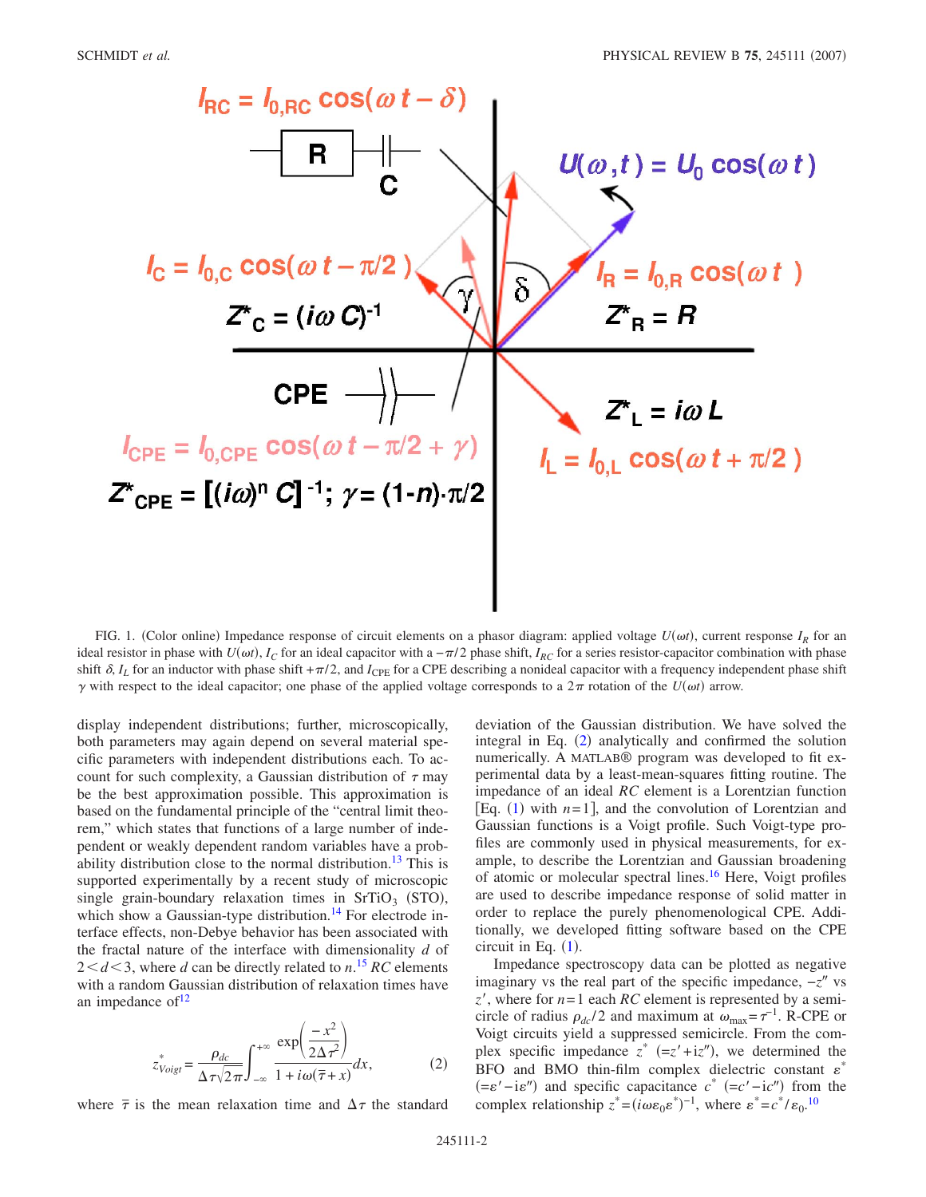<span id="page-1-0"></span>

FIG. 1. (Color online) Impedance response of circuit elements on a phasor diagram: applied voltage  $U(\omega t)$ , current response  $I_R$  for an ideal resistor in phase with  $U(\omega t)$ ,  $I_C$  for an ideal capacitor with a  $-\pi/2$  phase shift,  $I_{RC}$  for a series resistor-capacitor combination with phase shift  $\delta$ ,  $I_L$  for an inductor with phase shift + $\pi/2$ , and  $I_{\text{CPE}}$  for a CPE describing a nonideal capacitor with a frequency independent phase shift  $\gamma$  with respect to the ideal capacitor; one phase of the applied voltage corresponds to a  $2\pi$  rotation of the  $U(\omega t)$  arrow.

display independent distributions; further, microscopically, both parameters may again depend on several material specific parameters with independent distributions each. To account for such complexity, a Gaussian distribution of  $\tau$  may be the best approximation possible. This approximation is based on the fundamental principle of the "central limit theorem," which states that functions of a large number of independent or weakly dependent random variables have a probability distribution close to the normal distribution.<sup>13</sup> This is supported experimentally by a recent study of microscopic single grain-boundary relaxation times in  $SrTiO<sub>3</sub>$  (STO), which show a Gaussian-type distribution.<sup>14</sup> For electrode interface effects, non-Debye behavior has been associated with the fractal nature of the interface with dimensionality *d* of  $2 < d < 3$ , where *d* can be directly related to *n*.<sup>[15](#page-6-14)</sup> *RC* elements with a random Gaussian distribution of relaxation times have an impedance of  $12$ 

$$
z_{Voigt}^* = \frac{\rho_{dc}}{\Delta \tau \sqrt{2\pi}} \int_{-\infty}^{+\infty} \frac{\exp\left(\frac{-x^2}{2\Delta \tau^2}\right)}{1 + i\omega(\overline{\tau} + x)} dx, \tag{2}
$$

<span id="page-1-1"></span>where  $\bar{\tau}$  is the mean relaxation time and  $\Delta \tau$  the standard

deviation of the Gaussian distribution. We have solved the integral in Eq. ([2](#page-1-1)) analytically and confirmed the solution numerically. A MATLAB® program was developed to fit experimental data by a least-mean-squares fitting routine. The impedance of an ideal *RC* element is a Lorentzian function [Eq.  $(1)$  $(1)$  $(1)$  with  $n=1$ ], and the convolution of Lorentzian and Gaussian functions is a Voigt profile. Such Voigt-type profiles are commonly used in physical measurements, for example, to describe the Lorentzian and Gaussian broadening of atomic or molecular spectral lines.<sup>16</sup> Here, Voigt profiles are used to describe impedance response of solid matter in order to replace the purely phenomenological CPE. Additionally, we developed fitting software based on the CPE circuit in Eq.  $(1)$  $(1)$  $(1)$ .

Impedance spectroscopy data can be plotted as negative imaginary vs the real part of the specific impedance,  $-z$ <sup>"</sup> vs  $z'$ , where for  $n=1$  each *RC* element is represented by a semicircle of radius  $\rho_{dc}/2$  and maximum at  $\omega_{\text{max}} = \tau^{-1}$ . R-CPE or Voigt circuits yield a suppressed semicircle. From the complex specific impedance  $z^*$  (=z'+iz''), we determined the BFO and BMO thin-film complex dielectric constant  $\varepsilon^*$  $(=\varepsilon' - i\varepsilon'')$  and specific capacitance  $c^*$   $(=c' - ic'')$  from the complex relationship  $z^* = (i\omega \varepsilon_0 \varepsilon^*)^{-1}$ , where  $\varepsilon^* = c^* / \varepsilon_0$ .<sup>[10](#page-6-9)</sup>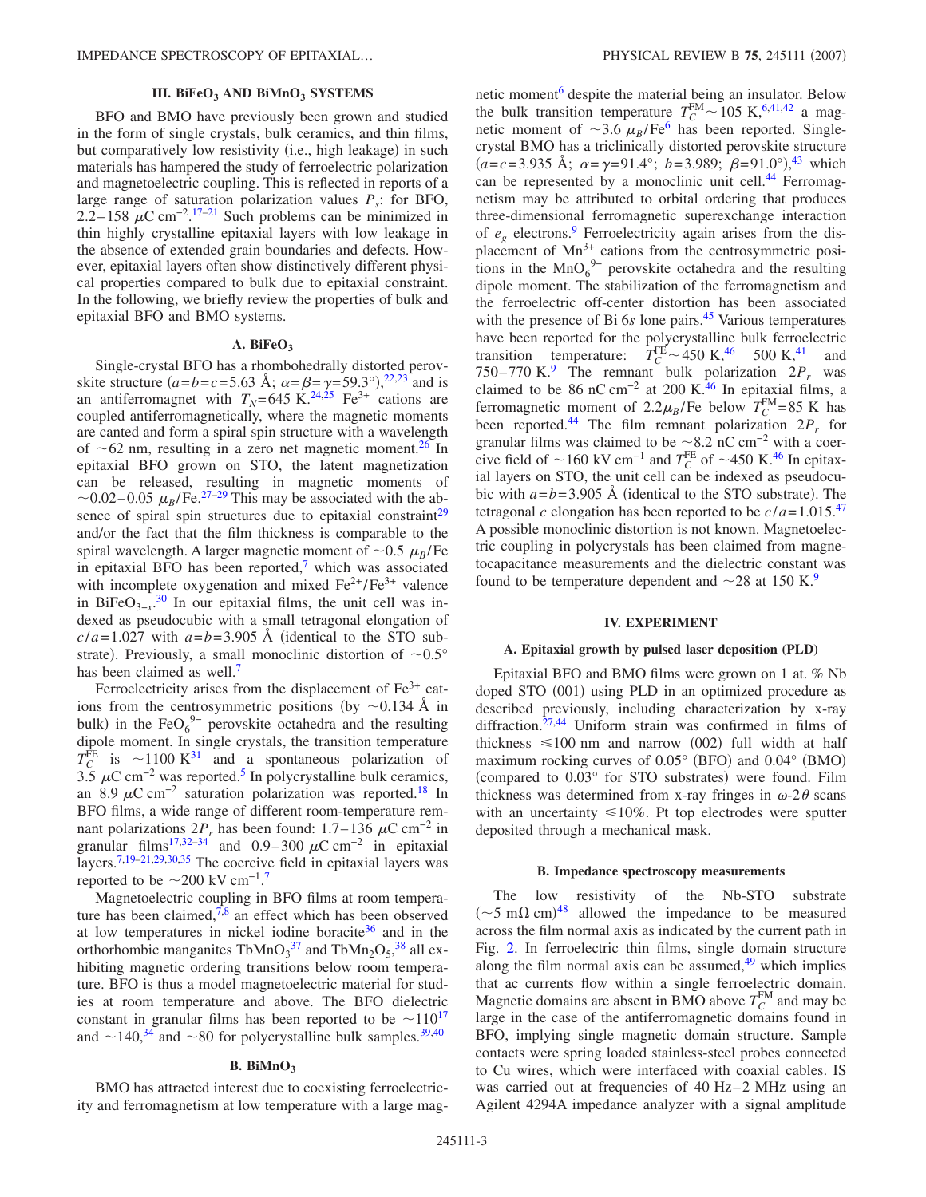### **III. BiFeO<sub>3</sub> AND BiMnO<sub>3</sub> SYSTEMS**

BFO and BMO have previously been grown and studied in the form of single crystals, bulk ceramics, and thin films, but comparatively low resistivity (i.e., high leakage) in such materials has hampered the study of ferroelectric polarization and magnetoelectric coupling. This is reflected in reports of a large range of saturation polarization values  $P_s$ : for BFO, 2.2–158  $\mu$ C cm<sup>-2</sup>.<sup>[17](#page-6-16)[–21](#page-6-17)</sup> Such problems can be minimized in thin highly crystalline epitaxial layers with low leakage in the absence of extended grain boundaries and defects. However, epitaxial layers often show distinctively different physical properties compared to bulk due to epitaxial constraint. In the following, we briefly review the properties of bulk and epitaxial BFO and BMO systems.

#### A. BiFe $O_3$

Single-crystal BFO has a rhombohedrally distorted perovskite structure  $(a=b=c=5.63 \text{ Å}; \ \alpha = \beta = \gamma = 59.3^{\circ}),^{22,23} \text{ and is}$  $(a=b=c=5.63 \text{ Å}; \ \alpha = \beta = \gamma = 59.3^{\circ}),^{22,23} \text{ and is}$  $(a=b=c=5.63 \text{ Å}; \ \alpha = \beta = \gamma = 59.3^{\circ}),^{22,23} \text{ and is}$  $(a=b=c=5.63 \text{ Å}; \ \alpha = \beta = \gamma = 59.3^{\circ}),^{22,23} \text{ and is}$ an antiferromagnet with  $T_N$ =645 K.<sup>24[,25](#page-6-21)</sup> Fe<sup>3+</sup> cations are coupled antiferromagnetically, where the magnetic moments are canted and form a spiral spin structure with a wavelength of  $\sim 62$  nm, resulting in a zero net magnetic moment.<sup>26</sup> In epitaxial BFO grown on STO, the latent magnetization can be released, resulting in magnetic moments of  $\sim$ 0.02–0.05  $\mu_B$ /Fe.<sup>27–[29](#page-6-24)</sup> This may be associated with the absence of spiral spin structures due to epitaxial constraint $2^9$ and/or the fact that the film thickness is comparable to the spiral wavelength. A larger magnetic moment of  $\sim 0.5 \mu_B$ /Fe in epitaxial BFO has been reported, $\frac{7}{1}$  which was associated with incomplete oxygenation and mixed  $Fe^{2+}/Fe^{3+}$  valence in BiFe $O_{3-x}$ <sup>[30](#page-6-25)</sup> In our epitaxial films, the unit cell was indexed as pseudocubic with a small tetragonal elongation of  $c/a = 1.027$  with  $a=b = 3.905$  Å (identical to the STO substrate). Previously, a small monoclinic distortion of  $\sim 0.5^{\circ}$ has been claimed as well.<sup>7</sup>

Ferroelectricity arises from the displacement of  $Fe<sup>3+</sup>$  cations from the centrosymmetric positions (by  $\sim$ 0.134 Å in bulk) in the FeO $_6^{9-}$  perovskite octahedra and the resulting dipole moment. In single crystals, the transition temperature  $T_C^{\text{FE}}$  is  $\sim$ 1100 K<sup>[31](#page-6-26)</sup> and a spontaneous polarization of 3[.5](#page-6-3)  $\mu$ C cm<sup>-2</sup> was reported.<sup>5</sup> In polycrystalline bulk ceramics, an 8.9  $\mu$ C cm<sup>-2</sup> saturation polarization was reported.<sup>18</sup> In BFO films, a wide range of different room-temperature remnant polarizations  $2P_r$  has been found:  $1.7-136 \mu C \text{ cm}^{-2}$  in granular films<sup>17[,32–](#page-6-28)[34](#page-7-0)</sup> and 0.9–300  $\mu$ C cm<sup>-2</sup> in epitaxial layers.<sup>7,[19–](#page-6-29)[21,](#page-6-17)[29,](#page-6-24)[30,](#page-6-25)[35](#page-7-1)</sup> The coercive field in epitaxial layers was reported to be  $\sim$ 200 kV cm<sup>-1.[7](#page-6-5)</sup>

Magnetoelectric coupling in BFO films at room temperature has been claimed, $\sqrt{7.8}$  an effect which has been observed at low temperatures in nickel iodine boracite<sup>36</sup> and in the orthorhombic manganites  $TbMnO<sub>3</sub><sup>37</sup>$  $TbMnO<sub>3</sub><sup>37</sup>$  $TbMnO<sub>3</sub><sup>37</sup>$  and  $TbMn<sub>2</sub>O<sub>5</sub><sup>38</sup>$  $TbMn<sub>2</sub>O<sub>5</sub><sup>38</sup>$  $TbMn<sub>2</sub>O<sub>5</sub><sup>38</sup>$  all exhibiting magnetic ordering transitions below room temperature. BFO is thus a model magnetoelectric material for studies at room temperature and above. The BFO dielectric constant in granular films has been reported to be  $\sim$ 110<sup>17</sup> and  $\sim$  1[40](#page-7-6),<sup>34</sup> and  $\sim$  80 for polycrystalline bulk samples.<sup>39,40</sup>

#### B. BiMnO<sub>3</sub>

BMO has attracted interest due to coexisting ferroelectricity and ferromagnetism at low temperature with a large magnetic moment<sup>6</sup> despite the material being an insulator. Below the bulk transition temperature  $T_C^{\text{FM}} \sim 105 \text{ K},^{6,41,42}$  $T_C^{\text{FM}} \sim 105 \text{ K},^{6,41,42}$  $T_C^{\text{FM}} \sim 105 \text{ K},^{6,41,42}$  $T_C^{\text{FM}} \sim 105 \text{ K},^{6,41,42}$  a magnetic moment of  $\sim$ 3.6  $\mu_B$ /Fe<sup>6</sup> has been reported. Singlecrystal BMO has a triclinically distorted perovskite structure  $(a=c=3.935 \text{ Å}; \ \alpha = \gamma = 91.4^{\circ}; \ b = 3.989; \ \beta = 91.0^{\circ}$ , <sup>[43](#page-7-9)</sup> which can be represented by a monoclinic unit cell.<sup>44</sup> Ferromagnetism may be attributed to orbital ordering that produces three-dimensional ferromagnetic superexchange interaction of *eg* electrons[.9](#page-6-7) Ferroelectricity again arises from the displacement of  $Mn^{3+}$  cations from the centrosymmetric positions in the  $MnO<sub>6</sub><sup>9-</sup>$  perovskite octahedra and the resulting dipole moment. The stabilization of the ferromagnetism and the ferroelectric off-center distortion has been associated with the presence of Bi 6*s* lone pairs.<sup>45</sup> Various temperatures have been reported for the polycrystalline bulk ferroelectric transition temperature:  $T_C^{FE} \sim 450 \text{ K},^{46}$  500 K,<sup>41</sup> and 750–770 K.<sup>[9](#page-6-7)</sup> The remnant bulk polarization  $2P_r$  was claimed to be 86 nC cm<sup>-2</sup> at 200 K.<sup>46</sup> In epitaxial films, a ferromagnetic moment of  $2.2\mu_B$ /Fe below  $T_C^{FM}=85$  K has been reported.<sup>44</sup> The film remnant polarization  $2P<sub>r</sub>$  for granular films was claimed to be  $\sim$ 8.2 nC cm<sup>-2</sup> with a coercive field of  $\sim$ 160 kV cm<sup>-1</sup> and  $T_C^{\text{FE}}$  of  $\sim$ 450 K.<sup>[46](#page-7-12)</sup> In epitaxial layers on STO, the unit cell can be indexed as pseudocubic with  $a = b = 3.905$  Å (identical to the STO substrate). The tetragonal *c* elongation has been reported to be  $c/a = 1.015$ .<sup>[47](#page-7-13)</sup> A possible monoclinic distortion is not known. Magnetoelectric coupling in polycrystals has been claimed from magnetocapacitance measurements and the dielectric constant was found to be temperature dependent and  $\sim$  28 at 150 K.<sup>9</sup>

#### **IV. EXPERIMENT**

### **A. Epitaxial growth by pulsed laser deposition (PLD)**

Epitaxial BFO and BMO films were grown on 1 at. % Nb doped STO (001) using PLD in an optimized procedure as described previously, including characterization by x-ray diffraction. $27,44$  $27,44$  Uniform strain was confirmed in films of thickness  $\leq 100$  nm and narrow (002) full width at half maximum rocking curves of  $0.05^{\circ}$  (BFO) and  $0.04^{\circ}$  (BMO) (compared to 0.03° for STO substrates) were found. Film thickness was determined from x-ray fringes in  $\omega$ -2 $\theta$  scans with an uncertainty  $\leq 10\%$ . Pt top electrodes were sputter deposited through a mechanical mask.

### **B. Impedance spectroscopy measurements**

The low resistivity of the Nb-STO substrate  $({\sim}5 \text{ m}\Omega \text{ cm})^{48}$  $({\sim}5 \text{ m}\Omega \text{ cm})^{48}$  $({\sim}5 \text{ m}\Omega \text{ cm})^{48}$  allowed the impedance to be measured across the film normal axis as indicated by the current path in Fig. [2.](#page-3-0) In ferroelectric thin films, single domain structure along the film normal axis can be assumed, $49$  which implies that ac currents flow within a single ferroelectric domain. Magnetic domains are absent in BMO above  $T_C^{\text{FM}}$  and may be large in the case of the antiferromagnetic domains found in BFO, implying single magnetic domain structure. Sample contacts were spring loaded stainless-steel probes connected to Cu wires, which were interfaced with coaxial cables. IS was carried out at frequencies of  $40$  Hz– $2$  MHz using an Agilent 4294A impedance analyzer with a signal amplitude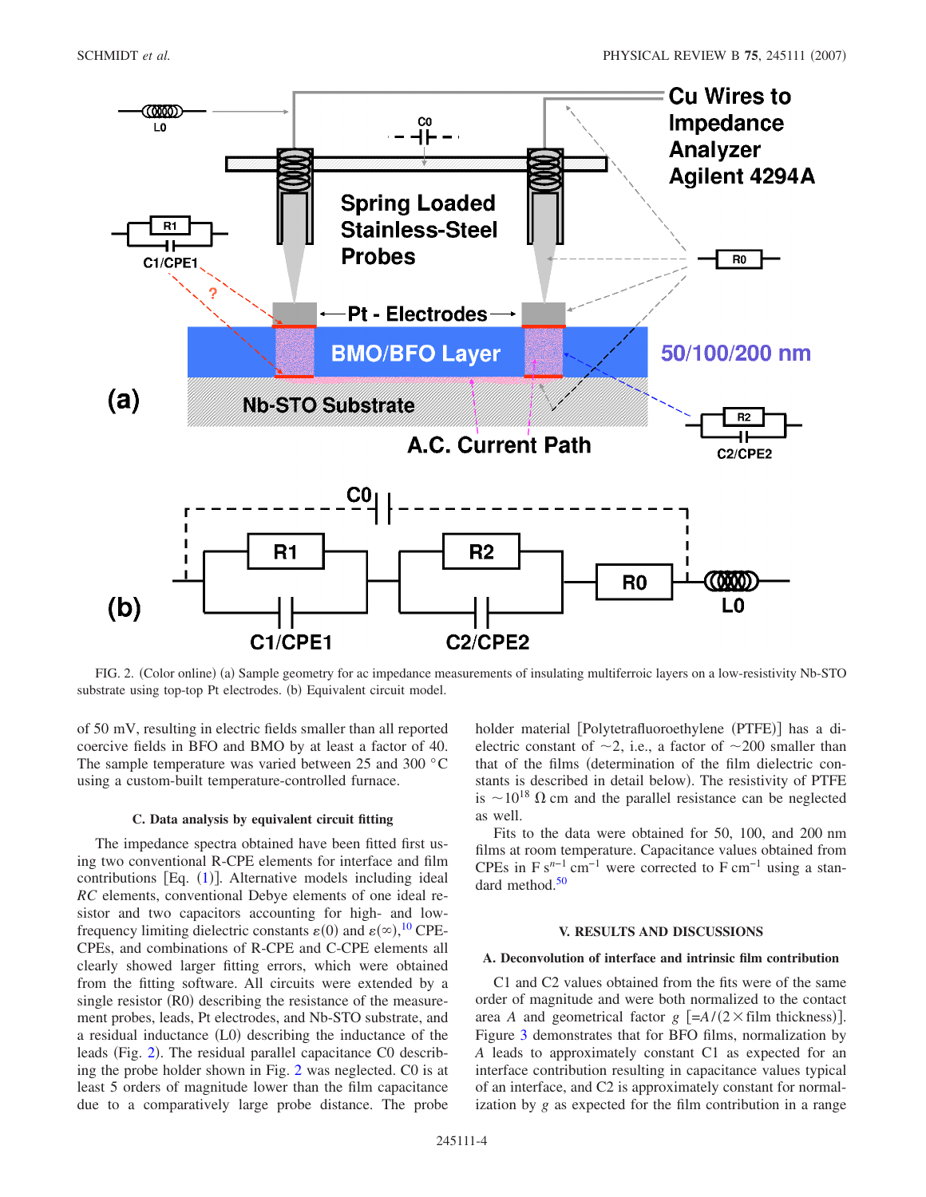<span id="page-3-0"></span>

FIG. 2. (Color online) (a) Sample geometry for ac impedance measurements of insulating multiferroic layers on a low-resistivity Nb-STO substrate using top-top Pt electrodes. (b) Equivalent circuit model.

of 50 mV, resulting in electric fields smaller than all reported coercive fields in BFO and BMO by at least a factor of 40. The sample temperature was varied between 25 and 300 °C using a custom-built temperature-controlled furnace.

#### **C. Data analysis by equivalent circuit fitting**

The impedance spectra obtained have been fitted first using two conventional R-CPE elements for interface and film contributions [Eq. ([1](#page-0-0))]. Alternative models including ideal *RC* elements, conventional Debye elements of one ideal resistor and two capacitors accounting for high- and lowfrequency limiting dielectric constants  $\varepsilon(0)$  and  $\varepsilon(\infty)$ , <sup>[10](#page-6-9)</sup> CPE-CPEs, and combinations of R-CPE and C-CPE elements all clearly showed larger fitting errors, which were obtained from the fitting software. All circuits were extended by a single resistor (R0) describing the resistance of the measurement probes, leads, Pt electrodes, and Nb-STO substrate, and a residual inductance (L0) describing the inductance of the leads (Fig. [2](#page-3-0)). The residual parallel capacitance C0 describing the probe holder shown in Fig. [2](#page-3-0) was neglected. C0 is at least 5 orders of magnitude lower than the film capacitance due to a comparatively large probe distance. The probe

holder material [Polytetrafluoroethylene (PTFE)] has a dielectric constant of  $\sim$ 2, i.e., a factor of  $\sim$ 200 smaller than that of the films (determination of the film dielectric constants is described in detail below). The resistivity of PTFE is  $\sim 10^{18} \Omega$  cm and the parallel resistance can be neglected as well.

Fits to the data were obtained for 50, 100, and 200 nm films at room temperature. Capacitance values obtained from CPEs in  $F s^{n-1}$  cm<sup>-1</sup> were corrected to  $F cm^{-1}$  using a standard method.<sup>50</sup>

# **V. RESULTS AND DISCUSSIONS**

# **A. Deconvolution of interface and intrinsic film contribution**

C1 and C2 values obtained from the fits were of the same order of magnitude and were both normalized to the contact area *A* and geometrical factor  $g$   $[=A/(2 \times \text{film thickness})]$ . Figure [3](#page-4-0) demonstrates that for BFO films, normalization by *A* leads to approximately constant C1 as expected for an interface contribution resulting in capacitance values typical of an interface, and C2 is approximately constant for normalization by *g* as expected for the film contribution in a range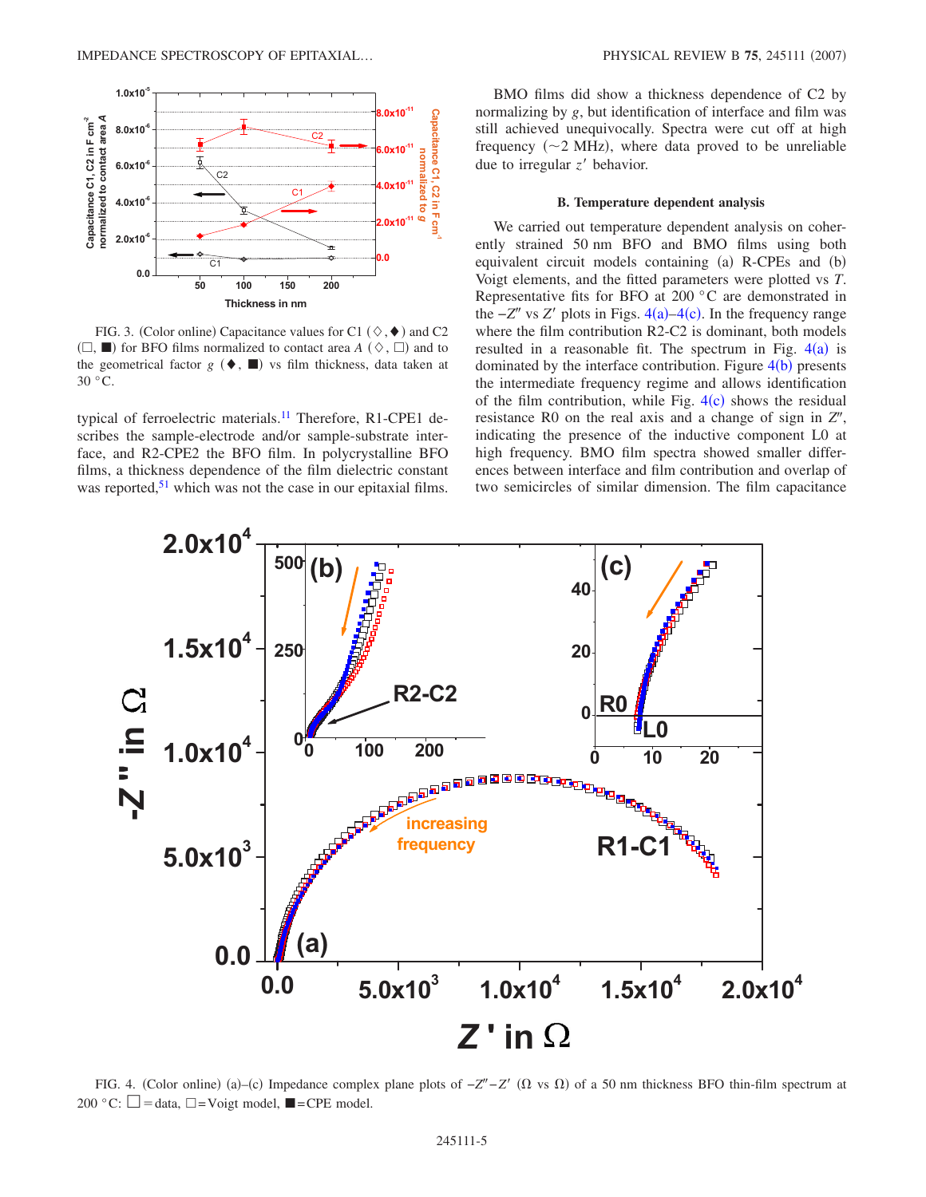<span id="page-4-0"></span>

FIG. 3. (Color online) Capacitance values for C1 ( $\diamond$ ,  $\blacklozenge$ ) and C2  $(\Box, \blacksquare)$  for BFO films normalized to contact area *A*  $(\Diamond, \Box)$  and to the geometrical factor  $g$  ( $\blacklozenge$ ,  $\blacksquare$ ) vs film thickness, data taken at  $30 °C$ .

typical of ferroelectric materials.<sup>11</sup> Therefore, R1-CPE1 describes the sample-electrode and/or sample-substrate interface, and R2-CPE2 the BFO film. In polycrystalline BFO films, a thickness dependence of the film dielectric constant was reported,  $51$  which was not the case in our epitaxial films.

BMO films did show a thickness dependence of C2 by normalizing by *g*, but identification of interface and film was still achieved unequivocally. Spectra were cut off at high frequency  $(\sim 2 \text{ MHz})$ , where data proved to be unreliable due to irregular  $z'$  behavior.

#### **B. Temperature dependent analysis**

We carried out temperature dependent analysis on coherently strained 50 nm BFO and BMO films using both equivalent circuit models containing (a) R-CPEs and (b) Voigt elements, and the fitted parameters were plotted vs *T*. Representative fits for BFO at 200 °C are demonstrated in the  $-Z''$  vs  $Z'$  plots in Figs.  $4(a) - 4(c)$  $4(a) - 4(c)$ . In the frequency range where the film contribution R2-C2 is dominant, both models resulted in a reasonable fit. The spectrum in Fig.  $4(a)$  $4(a)$  is dominated by the interface contribution. Figure  $4(b)$  $4(b)$  presents the intermediate frequency regime and allows identification of the film contribution, while Fig.  $4(c)$  $4(c)$  shows the residual resistance R0 on the real axis and a change of sign in  $Z''$ , indicating the presence of the inductive component L0 at high frequency. BMO film spectra showed smaller differences between interface and film contribution and overlap of two semicircles of similar dimension. The film capacitance

<span id="page-4-1"></span>

FIG. 4. (Color online) (a)–(c) Impedance complex plane plots of  $-Z''-Z'$  (Ω vs Ω) of a 50 nm thickness BFO thin-film spectrum at 200 °C:  $\square = \text{data}, \square = \text{Voigt model}, \blacksquare = \text{CPE model}.$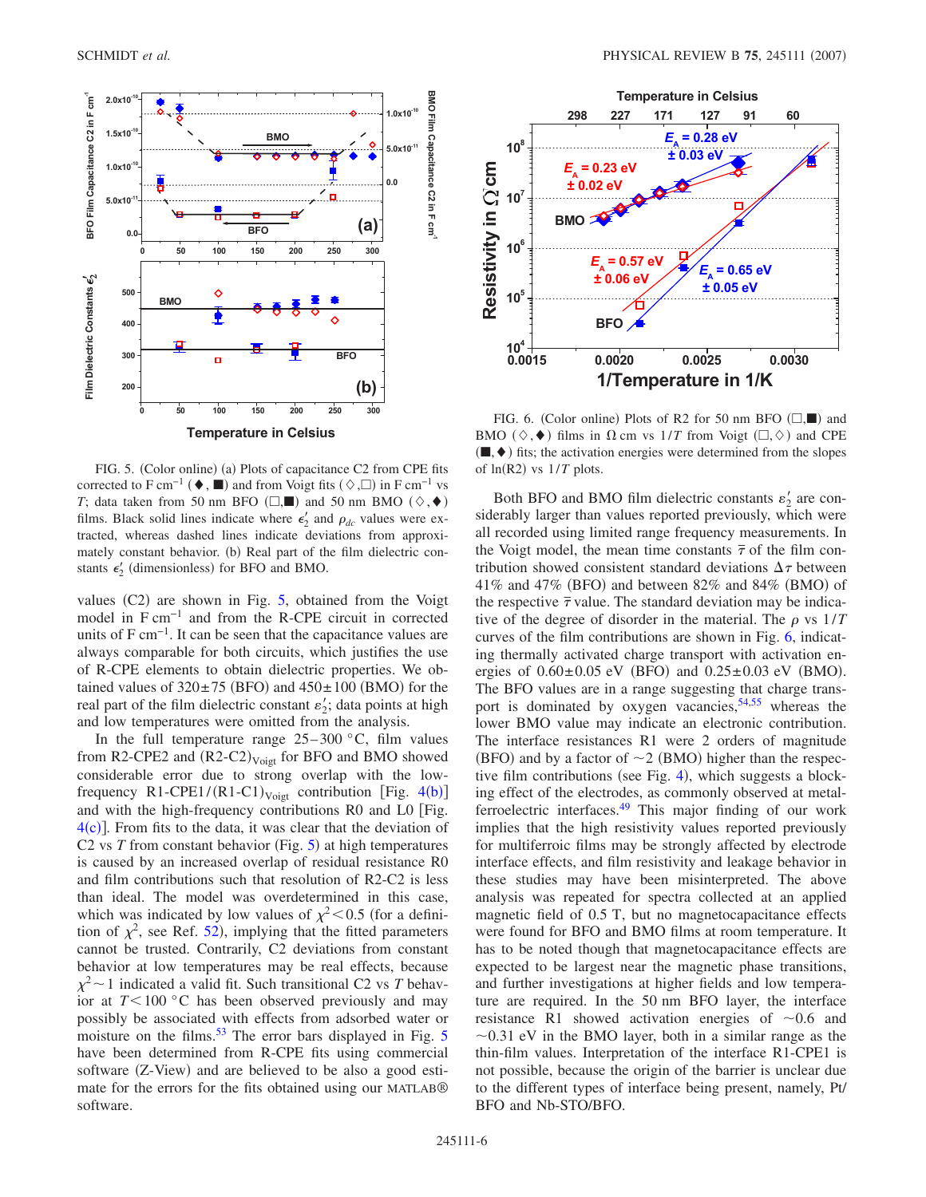<span id="page-5-0"></span>

FIG. 5. (Color online) (a) Plots of capacitance C2 from CPE fits corrected to F cm<sup>-1</sup> ( $\blacklozenge$ ,  $\blacksquare$ ) and from Voigt fits  $(\Diamond, \Box)$  in F cm<sup>-1</sup> vs *T*; data taken from 50 nm BFO ( $\Box$ , and 50 nm BMO ( $\diamond$ ,  $\blacklozenge$ ) films. Black solid lines indicate where  $\epsilon'_2$  and  $\rho_{dc}$  values were extracted, whereas dashed lines indicate deviations from approximately constant behavior. (b) Real part of the film dielectric constants  $\epsilon_2'$  (dimensionless) for BFO and BMO.

values  $(C2)$  are shown in Fig. [5,](#page-5-0) obtained from the Voigt model in F cm−1 and from the R-CPE circuit in corrected units of  $F \text{ cm}^{-1}$ . It can be seen that the capacitance values are always comparable for both circuits, which justifies the use of R-CPE elements to obtain dielectric properties. We obtained values of  $320 \pm 75$  (BFO) and  $450 \pm 100$  (BMO) for the real part of the film dielectric constant  $\varepsilon_2$ ; data points at high and low temperatures were omitted from the analysis.

In the full temperature range  $25-300$  °C, film values from R2-CPE2 and  $(R2-C2)_{\text{Voigt}}$  for BFO and BMO showed considerable error due to strong overlap with the lowfrequency  $R1$ -CPE1/(R1-C1)<sub>Voigt</sub> contribution [Fig. [4](#page-4-1)(b)] and with the high-frequency contributions R0 and L0 Fig.  $4(c)$  $4(c)$ ]. From fits to the data, it was clear that the deviation of C2 vs  $T$  from constant behavior (Fig.  $5$ ) at high temperatures is caused by an increased overlap of residual resistance R0 and film contributions such that resolution of R2-C2 is less than ideal. The model was overdetermined in this case, which was indicated by low values of  $\chi^2$  < 0.5 (for a definition of  $\chi^2$ , see Ref. [52](#page-7-18)), implying that the fitted parameters cannot be trusted. Contrarily, C2 deviations from constant behavior at low temperatures may be real effects, because  $\chi^2$  ~ 1 indicated a valid fit. Such transitional C2 vs *T* behavior at  $T \leq 100$  °C has been observed previously and may possibly be associated with effects from adsorbed water or moisture on the films.<sup>[5](#page-5-0)3</sup> The error bars displayed in Fig.  $5$ have been determined from R-CPE fits using commercial software (Z-View) and are believed to be also a good estimate for the errors for the fits obtained using our MATLAB® software.

<span id="page-5-1"></span>

FIG. 6. (Color online) Plots of R2 for 50 nm BFO  $(\square, \blacksquare)$  and BMO ( $\diamond$ ,  $\blacklozenge$ ) films in  $\Omega$  cm vs  $1/T$  from Voigt ( $\square$ ,  $\diamond$ ) and CPE  $(\blacksquare, \blacklozenge)$  fits; the activation energies were determined from the slopes of  $ln(R2)$  vs  $1/T$  plots.

Both BFO and BMO film dielectric constants  $\varepsilon'_2$  are considerably larger than values reported previously, which were all recorded using limited range frequency measurements. In the Voigt model, the mean time constants  $\bar{\tau}$  of the film contribution showed consistent standard deviations  $\Delta \tau$  between 41% and 47% (BFO) and between  $82\%$  and  $84\%$  (BMO) of the respective  $\bar{\tau}$  value. The standard deviation may be indicative of the degree of disorder in the material. The  $\rho$  vs  $1/T$ curves of the film contributions are shown in Fig. [6,](#page-5-1) indicating thermally activated charge transport with activation energies of  $0.60 \pm 0.05$  eV (BFO) and  $0.25 \pm 0.03$  eV (BMO). The BFO values are in a range suggesting that charge transport is dominated by oxygen vacancies,  $54,55$  $54,55$  whereas the lower BMO value may indicate an electronic contribution. The interface resistances R1 were 2 orders of magnitude (BFO) and by a factor of  $\sim$  2 (BMO) higher than the respec-tive film contributions (see Fig. [4](#page-4-1)), which suggests a blocking effect of the electrodes, as commonly observed at metalferroelectric interfaces[.49](#page-7-15) This major finding of our work implies that the high resistivity values reported previously for multiferroic films may be strongly affected by electrode interface effects, and film resistivity and leakage behavior in these studies may have been misinterpreted. The above analysis was repeated for spectra collected at an applied magnetic field of 0.5 T, but no magnetocapacitance effects were found for BFO and BMO films at room temperature. It has to be noted though that magnetocapacitance effects are expected to be largest near the magnetic phase transitions, and further investigations at higher fields and low temperature are required. In the 50 nm BFO layer, the interface resistance R1 showed activation energies of  $\sim 0.6$  and  $\sim$ 0.31 eV in the BMO layer, both in a similar range as the thin-film values. Interpretation of the interface R1-CPE1 is not possible, because the origin of the barrier is unclear due to the different types of interface being present, namely, Pt/ BFO and Nb-STO/BFO.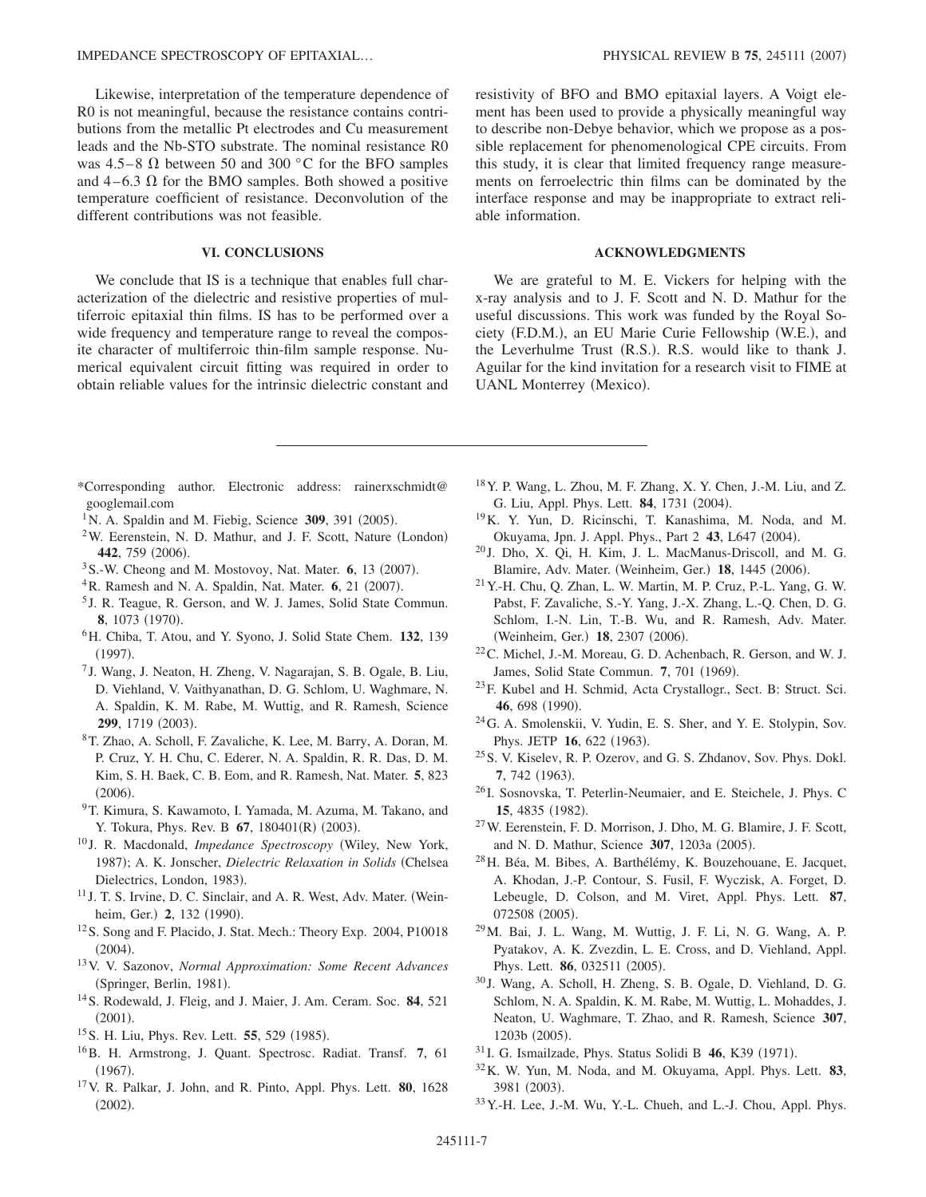Likewise, interpretation of the temperature dependence of R0 is not meaningful, because the resistance contains contributions from the metallic Pt electrodes and Cu measurement leads and the Nb-STO substrate. The nominal resistance R0 was 4.5–8  $\Omega$  between 50 and 300 °C for the BFO samples and  $4-6.3 \Omega$  for the BMO samples. Both showed a positive temperature coefficient of resistance. Deconvolution of the different contributions was not feasible.

# **VI. CONCLUSIONS**

We conclude that IS is a technique that enables full characterization of the dielectric and resistive properties of multiferroic epitaxial thin films. IS has to be performed over a wide frequency and temperature range to reveal the composite character of multiferroic thin-film sample response. Numerical equivalent circuit fitting was required in order to obtain reliable values for the intrinsic dielectric constant and resistivity of BFO and BMO epitaxial layers. A Voigt element has been used to provide a physically meaningful way to describe non-Debye behavior, which we propose as a possible replacement for phenomenological CPE circuits. From this study, it is clear that limited frequency range measurements on ferroelectric thin films can be dominated by the interface response and may be inappropriate to extract reliable information.

# **ACKNOWLEDGMENTS**

We are grateful to M. E. Vickers for helping with the x-ray analysis and to J. F. Scott and N. D. Mathur for the useful discussions. This work was funded by the Royal Society (F.D.M.), an EU Marie Curie Fellowship (W.E.), and the Leverhulme Trust (R.S.). R.S. would like to thank J. Aguilar for the kind invitation for a research visit to FIME at UANL Monterrey (Mexico).

- <span id="page-6-0"></span>\*Corresponding author. Electronic address: rainerxschmidt@ googlemail.com
- <span id="page-6-1"></span> $1$ N. A. Spaldin and M. Fiebig, Science 309, 391 (2005).
- <span id="page-6-8"></span> $2$ W. Eerenstein, N. D. Mathur, and J. F. Scott, Nature (London) 442, 759 (2006).
- <sup>3</sup> S.-W. Cheong and M. Mostovoy, Nat. Mater. 6, 13 (2007).
- <span id="page-6-2"></span><sup>4</sup> R. Ramesh and N. A. Spaldin, Nat. Mater. 6, 21 (2007).
- <span id="page-6-3"></span><sup>5</sup> J. R. Teague, R. Gerson, and W. J. James, Solid State Commun. **8**, 1073 (1970).
- <span id="page-6-4"></span>6H. Chiba, T. Atou, and Y. Syono, J. Solid State Chem. **132**, 139  $(1997).$
- <span id="page-6-5"></span><sup>7</sup> J. Wang, J. Neaton, H. Zheng, V. Nagarajan, S. B. Ogale, B. Liu, D. Viehland, V. Vaithyanathan, D. G. Schlom, U. Waghmare, N. A. Spaldin, K. M. Rabe, M. Wuttig, and R. Ramesh, Science 299, 1719 (2003).
- <span id="page-6-6"></span>8T. Zhao, A. Scholl, F. Zavaliche, K. Lee, M. Barry, A. Doran, M. P. Cruz, Y. H. Chu, C. Ederer, N. A. Spaldin, R. R. Das, D. M. Kim, S. H. Baek, C. B. Eom, and R. Ramesh, Nat. Mater. **5**, 823  $(2006).$
- <span id="page-6-7"></span><sup>9</sup>T. Kimura, S. Kawamoto, I. Yamada, M. Azuma, M. Takano, and Y. Tokura, Phys. Rev. B **67**, 180401(R) (2003).
- <span id="page-6-9"></span><sup>10</sup> J. R. Macdonald, *Impedance Spectroscopy* Wiley, New York, 1987); A. K. Jonscher, *Dielectric Relaxation in Solids* (Chelsea Dielectrics, London, 1983).
- <span id="page-6-10"></span><sup>11</sup> J. T. S. Irvine, D. C. Sinclair, and A. R. West, Adv. Mater. (Weinheim, Ger.) 2, 132 (1990).
- <span id="page-6-11"></span>12S. Song and F. Placido, J. Stat. Mech.: Theory Exp. 2004, P10018  $(2004).$
- <span id="page-6-12"></span>13V. V. Sazonov, *Normal Approximation: Some Recent Advances* (Springer, Berlin, 1981).
- <span id="page-6-13"></span>14S. Rodewald, J. Fleig, and J. Maier, J. Am. Ceram. Soc. **84**, 521  $(2001).$
- <span id="page-6-14"></span><sup>15</sup> S. H. Liu, Phys. Rev. Lett. **55**, 529 (1985).
- <span id="page-6-15"></span>16B. H. Armstrong, J. Quant. Spectrosc. Radiat. Transf. **7**, 61  $(1967).$
- <span id="page-6-16"></span>17V. R. Palkar, J. John, and R. Pinto, Appl. Phys. Lett. **80**, 1628  $(2002).$
- <span id="page-6-27"></span>18Y. P. Wang, L. Zhou, M. F. Zhang, X. Y. Chen, J.-M. Liu, and Z. G. Liu, Appl. Phys. Lett. **84**, 1731 (2004).
- <span id="page-6-29"></span>19K. Y. Yun, D. Ricinschi, T. Kanashima, M. Noda, and M. Okuyama, Jpn. J. Appl. Phys., Part 2 43, L647 (2004).
- <sup>20</sup> J. Dho, X. Qi, H. Kim, J. L. MacManus-Driscoll, and M. G. Blamire, Adv. Mater. (Weinheim, Ger.) 18, 1445 (2006).
- <span id="page-6-17"></span> $21$  Y.-H. Chu, Q. Zhan, L. W. Martin, M. P. Cruz, P.-L. Yang, G. W. Pabst, F. Zavaliche, S.-Y. Yang, J.-X. Zhang, L.-Q. Chen, D. G. Schlom, I.-N. Lin, T.-B. Wu, and R. Ramesh, Adv. Mater. (Weinheim, Ger.) 18, 2307 (2006).
- <span id="page-6-18"></span>22C. Michel, J.-M. Moreau, G. D. Achenbach, R. Gerson, and W. J. James, Solid State Commun. 7, 701 (1969).
- <span id="page-6-19"></span>23F. Kubel and H. Schmid, Acta Crystallogr., Sect. B: Struct. Sci. 46, 698 (1990).
- <span id="page-6-20"></span>24G. A. Smolenskii, V. Yudin, E. S. Sher, and Y. E. Stolypin, Sov. Phys. JETP 16, 622 (1963).
- <span id="page-6-21"></span> $^{25}$ S. V. Kiselev, R. P. Ozerov, and G. S. Zhdanov, Sov. Phys. Dokl. 7, 742 (1963).
- <span id="page-6-22"></span><sup>26</sup> I. Sosnovska, T. Peterlin-Neumaier, and E. Steichele, J. Phys. C 15, 4835 (1982).
- <span id="page-6-23"></span>27W. Eerenstein, F. D. Morrison, J. Dho, M. G. Blamire, J. F. Scott, and N. D. Mathur, Science 307, 1203a (2005).
- 28H. Béa, M. Bibes, A. Barthélémy, K. Bouzehouane, E. Jacquet, A. Khodan, J.-P. Contour, S. Fusil, F. Wyczisk, A. Forget, D. Lebeugle, D. Colson, and M. Viret, Appl. Phys. Lett. **87**, 072508 (2005).
- <span id="page-6-24"></span>29M. Bai, J. L. Wang, M. Wuttig, J. F. Li, N. G. Wang, A. P. Pyatakov, A. K. Zvezdin, L. E. Cross, and D. Viehland, Appl. Phys. Lett. **86**, 032511 (2005).
- <span id="page-6-25"></span><sup>30</sup> J. Wang, A. Scholl, H. Zheng, S. B. Ogale, D. Viehland, D. G. Schlom, N. A. Spaldin, K. M. Rabe, M. Wuttig, L. Mohaddes, J. Neaton, U. Waghmare, T. Zhao, and R. Ramesh, Science **307**, 1203b (2005).
- <span id="page-6-26"></span><sup>31</sup> I. G. Ismailzade, Phys. Status Solidi B **46**, K39 (1971).
- <span id="page-6-28"></span>32K. W. Yun, M. Noda, and M. Okuyama, Appl. Phys. Lett. **83**, 3981 (2003).
- 33Y.-H. Lee, J.-M. Wu, Y.-L. Chueh, and L.-J. Chou, Appl. Phys.